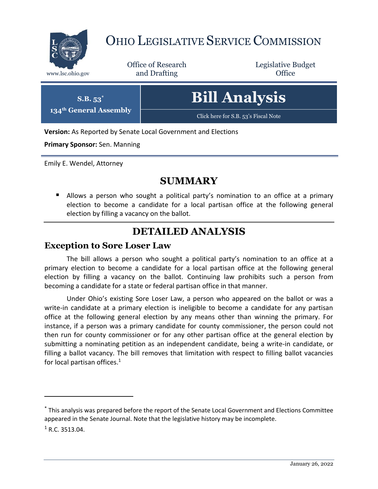

## OHIO LEGISLATIVE SERVICE COMMISSION

Office of Research www.lsc.ohio.gov **and Drafting Office** 

Legislative Budget

| $S.B. 53^*$            | <b>Bill Analysis</b>                 |
|------------------------|--------------------------------------|
| 134th General Assembly | Click here for S.B. 53's Fiscal Note |

**Version:** As Reported by Senate Local Government and Elections

**Primary Sponsor:** Sen. Manning

Emily E. Wendel, Attorney

### **SUMMARY**

**E** Allows a person who sought a political party's nomination to an office at a primary election to become a candidate for a local partisan office at the following general election by filling a vacancy on the ballot.

### **DETAILED ANALYSIS**

#### **Exception to Sore Loser Law**

The bill allows a person who sought a political party's nomination to an office at a primary election to become a candidate for a local partisan office at the following general election by filling a vacancy on the ballot. Continuing law prohibits such a person from becoming a candidate for a state or federal partisan office in that manner.

Under Ohio's existing Sore Loser Law, a person who appeared on the ballot or was a write-in candidate at a primary election is ineligible to become a candidate for any partisan office at the following general election by any means other than winning the primary. For instance, if a person was a primary candidate for county commissioner, the person could not then run for county commissioner or for any other partisan office at the general election by submitting a nominating petition as an independent candidate, being a write-in candidate, or filling a ballot vacancy. The bill removes that limitation with respect to filling ballot vacancies for local partisan offices.<sup>1</sup>

 $\overline{a}$ 

<sup>\*</sup> This analysis was prepared before the report of the Senate Local Government and Elections Committee appeared in the Senate Journal. Note that the legislative history may be incomplete.

 $1 R.C. 3513.04.$